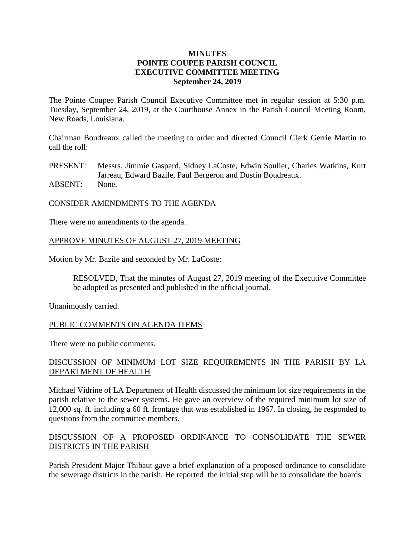#### **MINUTES POINTE COUPEE PARISH COUNCIL EXECUTIVE COMMITTEE MEETING September 24, 2019**

The Pointe Coupee Parish Council Executive Committee met in regular session at 5:30 p.m. Tuesday, September 24, 2019, at the Courthouse Annex in the Parish Council Meeting Room, New Roads, Louisiana.

Chairman Boudreaux called the meeting to order and directed Council Clerk Gerrie Martin to call the roll:

PRESENT: Messrs. Jimmie Gaspard, Sidney LaCoste, Edwin Soulier, Charles Watkins, Kurt Jarreau, Edward Bazile, Paul Bergeron and Dustin Boudreaux. ABSENT: None.

# CONSIDER AMENDMENTS TO THE AGENDA

There were no amendments to the agenda.

## APPROVE MINUTES OF AUGUST 27, 2019 MEETING

Motion by Mr. Bazile and seconded by Mr. LaCoste:

RESOLVED, That the minutes of August 27, 2019 meeting of the Executive Committee be adopted as presented and published in the official journal.

Unanimously carried.

#### PUBLIC COMMENTS ON AGENDA ITEMS

There were no public comments.

## DISCUSSION OF MINIMUM LOT SIZE REQUIREMENTS IN THE PARISH BY LA DEPARTMENT OF HEALTH

Michael Vidrine of LA Department of Health discussed the minimum lot size requirements in the parish relative to the sewer systems. He gave an overview of the required minimum lot size of 12,000 sq. ft. including a 60 ft. frontage that was established in 1967. In closing, he responded to questions from the committee members.

## DISCUSSION OF A PROPOSED ORDINANCE TO CONSOLIDATE THE SEWER DISTRICTS IN THE PARISH

Parish President Major Thibaut gave a brief explanation of a proposed ordinance to consolidate the sewerage districts in the parish. He reported the initial step will be to consolidate the boards